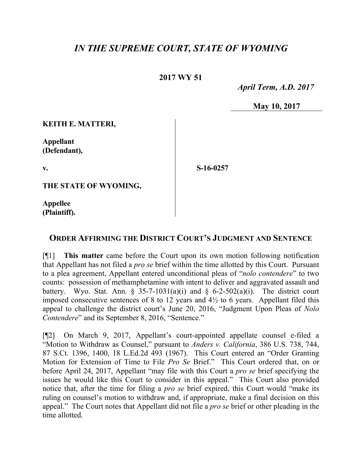## *IN THE SUPREME COURT, STATE OF WYOMING*

## **2017 WY 51**

 *April Term, A.D. 2017*

**May 10, 2017**

**KEITH E. MATTERI,**

**Appellant (Defendant),**

**v.**

**S-16-0257**

**THE STATE OF WYOMING,**

**Appellee (Plaintiff).**

## **ORDER AFFIRMING THE DISTRICT COURT'S JUDGMENT AND SENTENCE**

[¶1] **This matter** came before the Court upon its own motion following notification that Appellant has not filed a *pro se* brief within the time allotted by this Court. Pursuant to a plea agreement, Appellant entered unconditional pleas of "*nolo contendere*" to two counts: possession of methamphetamine with intent to deliver and aggravated assault and battery. Wyo. Stat. Ann.  $\frac{2}{3}$  35-7-1031(a)(i) and  $\frac{2}{3}$  6-2-502(a)(i). The district court imposed consecutive sentences of 8 to 12 years and  $4\frac{1}{2}$  to 6 years. Appellant filed this appeal to challenge the district court's June 20, 2016, "Judgment Upon Pleas of *Nolo Contendere*" and its September 8, 2016, "Sentence."

[¶2] On March 9, 2017, Appellant's court-appointed appellate counsel e-filed a "Motion to Withdraw as Counsel," pursuant to *Anders v. California*, 386 U.S. 738, 744, 87 S.Ct. 1396, 1400, 18 L.Ed.2d 493 (1967). This Court entered an "Order Granting Motion for Extension of Time to File *Pro Se* Brief." This Court ordered that, on or before April 24, 2017, Appellant "may file with this Court a *pro se* brief specifying the issues he would like this Court to consider in this appeal." This Court also provided notice that, after the time for filing a *pro se* brief expired, this Court would "make its ruling on counsel's motion to withdraw and, if appropriate, make a final decision on this appeal." The Court notes that Appellant did not file a *pro se* brief or other pleading in the time allotted.